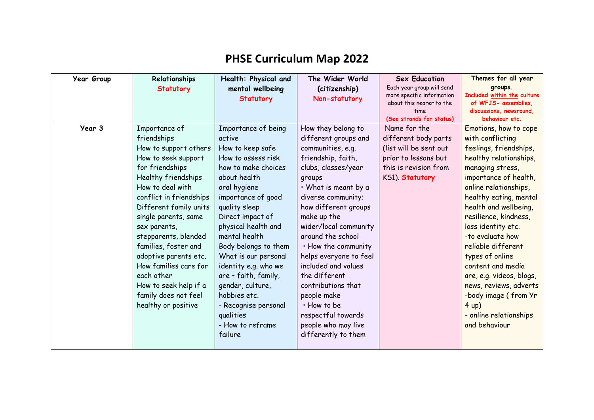## **PHSE Curriculum Map 2022**

| <b>Year Group</b> | Relationships           | Health: Physical and | The Wider World        | <b>Sex Education</b>                                  | Themes for all year                                 |
|-------------------|-------------------------|----------------------|------------------------|-------------------------------------------------------|-----------------------------------------------------|
|                   | <b>Statutory</b>        | mental wellbeing     | (citizenship)          | Each year group will send                             | groups.                                             |
|                   |                         | <b>Statutory</b>     | Non-statutory          | more specific information<br>about this nearer to the | Included within the culture<br>of WFJS- assemblies, |
|                   |                         |                      |                        | time                                                  | discussions, newsround,                             |
|                   |                         |                      |                        | (See strands for status)                              | behaviour etc.                                      |
| Year 3            | Importance of           | Importance of being  | How they belong to     | Name for the                                          | Emotions, how to cope                               |
|                   | friendships             | active               | different groups and   | different body parts                                  | with conflicting                                    |
|                   | How to support others   | How to keep safe     | communities, e.g.      | (list will be sent out                                | feelings, friendships,                              |
|                   | How to seek support     | How to assess risk   | friendship, faith,     | prior to lessons but                                  | healthy relationships,                              |
|                   | for friendships         | how to make choices  | clubs, classes/year    | this is revision from                                 | managing stress,                                    |
|                   | Healthy friendships     | about health         | groups                 | KS1). Statutory                                       | importance of health,                               |
|                   | How to deal with        | oral hygiene         | • What is meant by a   |                                                       | online relationships,                               |
|                   | conflict in friendships | importance of good   | diverse community;     |                                                       | healthy eating, mental                              |
|                   | Different family units  | quality sleep        | how different groups   |                                                       | health and wellbeing,                               |
|                   | single parents, same    | Direct impact of     | make up the            |                                                       | resilience, kindness,                               |
|                   | sex parents,            | physical health and  | wider/local community  |                                                       | loss identity etc.                                  |
|                   | stepparents, blended    | mental health        | around the school      |                                                       | -to evaluate how                                    |
|                   | families, foster and    | Body belongs to them | . How the community    |                                                       | reliable different                                  |
|                   | adoptive parents etc.   | What is our personal | helps everyone to feel |                                                       | types of online                                     |
|                   | How families care for   | identity e.g. who we | included and values    |                                                       | content and media                                   |
|                   | each other              | are - faith, family, | the different          |                                                       | are, e.g. videos, blogs,                            |
|                   | How to seek help if a   | gender, culture,     | contributions that     |                                                       | news, reviews, adverts                              |
|                   | family does not feel    | hobbies etc.         | people make            |                                                       | -body image (from Yr                                |
|                   | healthy or positive     | - Recognise personal | · How to be            |                                                       | 4 up)                                               |
|                   |                         | qualities            | respectful towards     |                                                       | - online relationships                              |
|                   |                         | - How to reframe     | people who may live    |                                                       | and behaviour                                       |
|                   |                         | failure              | differently to them    |                                                       |                                                     |
|                   |                         |                      |                        |                                                       |                                                     |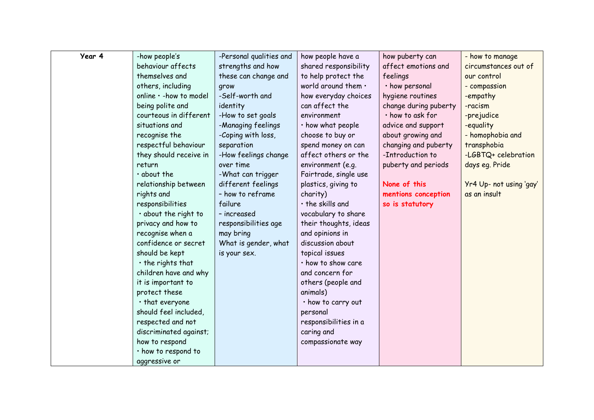| Year 4 | -how people's           | -Personal qualities and | how people have a      | how puberty can       | - how to manage         |
|--------|-------------------------|-------------------------|------------------------|-----------------------|-------------------------|
|        | behaviour affects       | strengths and how       | shared responsibility  | affect emotions and   | circumstances out of    |
|        | themselves and          | these can change and    | to help protect the    | feelings              | our control             |
|        | others, including       | grow                    | world around them .    | · how personal        | - compassion            |
|        | online · - how to model | -Self-worth and         | how everyday choices   | hygiene routines      | -empathy                |
|        | being polite and        | identity                | can affect the         | change during puberty | -racism                 |
|        | courteous in different  | -How to set goals       | environment            | · how to ask for      | -prejudice              |
|        | situations and          | -Managing feelings      | · how what people      | advice and support    | -equality               |
|        | recognise the           | -Coping with loss,      | choose to buy or       | about growing and     | - homophobia and        |
|        | respectful behaviour    | separation              | spend money on can     | changing and puberty  | transphobia             |
|        | they should receive in  | -How feelings change    | affect others or the   | -Introduction to      | -LGBTQ+ celebration     |
|        | return                  | over time               | environment (e.g.      | puberty and periods   | days eq. Pride          |
|        | $\cdot$ about the       | -What can trigger       | Fairtrade, single use  |                       |                         |
|        | relationship between    | different feelings      | plastics, giving to    | None of this          | Yr4 Up- not using 'gay' |
|        | rights and              | - how to reframe        | charity)               | mentions conception   | as an insult            |
|        | responsibilities        | failure                 | $\cdot$ the skills and | so is statutory       |                         |
|        | · about the right to    | - increased             | vocabulary to share    |                       |                         |
|        | privacy and how to      | responsibilities age    | their thoughts, ideas  |                       |                         |
|        | recognise when a        | may bring               | and opinions in        |                       |                         |
|        | confidence or secret    | What is gender, what    | discussion about       |                       |                         |
|        | should be kept          | is your sex.            | topical issues         |                       |                         |
|        | $\cdot$ the rights that |                         | · how to show care     |                       |                         |
|        | children have and why   |                         | and concern for        |                       |                         |
|        | it is important to      |                         | others (people and     |                       |                         |
|        | protect these           |                         | animals)               |                       |                         |
|        | • that everyone         |                         | • how to carry out     |                       |                         |
|        | should feel included,   |                         | personal               |                       |                         |
|        | respected and not       |                         | responsibilities in a  |                       |                         |
|        | discriminated against;  |                         | caring and             |                       |                         |
|        | how to respond          |                         | compassionate way      |                       |                         |
|        | · how to respond to     |                         |                        |                       |                         |
|        | aggressive or           |                         |                        |                       |                         |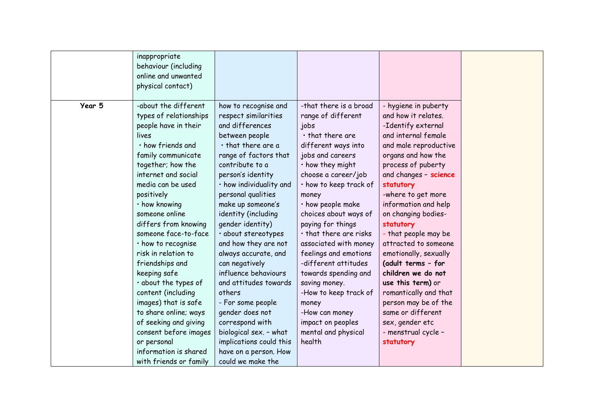|        | inappropriate<br>behaviour (including<br>online and unwanted<br>physical contact)                                |                                                                                                                    |                                                    |                                                     |
|--------|------------------------------------------------------------------------------------------------------------------|--------------------------------------------------------------------------------------------------------------------|----------------------------------------------------|-----------------------------------------------------|
|        |                                                                                                                  |                                                                                                                    |                                                    |                                                     |
| Year 5 | -about the different                                                                                             | how to recognise and                                                                                               | -that there is a broad                             | - hygiene in puberty                                |
|        | types of relationships                                                                                           | respect similarities                                                                                               | range of different                                 | and how it relates.                                 |
|        | people have in their                                                                                             | and differences                                                                                                    | jobs                                               | -Identify external                                  |
|        | lives                                                                                                            | between people                                                                                                     | $\cdot$ that there are                             | and internal female                                 |
|        | · how friends and                                                                                                | $\cdot$ that there are a                                                                                           | different ways into                                | and male reproductive                               |
|        | family communicate                                                                                               | range of factors that                                                                                              | jobs and careers                                   | organs and how the                                  |
|        | together; how the                                                                                                | contribute to a                                                                                                    | $\cdot$ how they might                             | process of puberty                                  |
|        | internet and social                                                                                              | person's identity                                                                                                  | choose a career/job                                | and changes - science                               |
|        | media can be used                                                                                                | · how individuality and                                                                                            | · how to keep track of                             | statutory                                           |
|        | positively                                                                                                       | personal qualities                                                                                                 | money                                              | -where to get more                                  |
|        | · how knowing                                                                                                    | make up someone's                                                                                                  | $\cdot$ how people make                            | information and help                                |
|        | someone online                                                                                                   | identity (including                                                                                                | choices about ways of                              | on changing bodies-                                 |
|        | differs from knowing                                                                                             | gender identity)                                                                                                   | paying for things                                  | statutory                                           |
|        | someone face-to-face                                                                                             | · about stereotypes                                                                                                | . that there are risks                             | - that people may be                                |
|        | · how to recognise                                                                                               | and how they are not                                                                                               | associated with money                              | attracted to someone                                |
|        | risk in relation to                                                                                              | always accurate, and                                                                                               | feelings and emotions                              | emotionally, sexually                               |
|        | friendships and                                                                                                  | can negatively                                                                                                     | -different attitudes                               | (adult terms - for                                  |
|        | keeping safe                                                                                                     | influence behaviours                                                                                               | towards spending and                               | children we do not                                  |
|        | · about the types of                                                                                             | and attitudes towards                                                                                              | saving money.                                      | use this term) or                                   |
|        | content (including                                                                                               | others                                                                                                             | -How to keep track of                              | romantically and that                               |
|        | images) that is safe                                                                                             | - For some people                                                                                                  | money                                              | person may be of the                                |
|        | to share online; ways                                                                                            | gender does not                                                                                                    | -How can money                                     | same or different                                   |
|        | of seeking and giving<br>consent before images<br>or personal<br>information is shared<br>with friends or family | correspond with<br>biological sex. - what<br>implications could this<br>have on a person. How<br>could we make the | impact on peoples<br>mental and physical<br>health | sex, gender etc<br>- menstrual cycle -<br>statutory |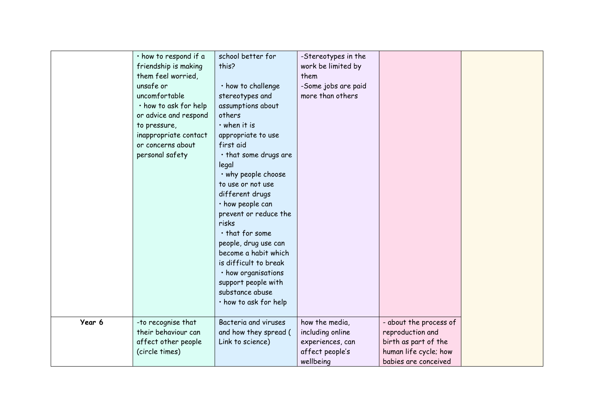|        | · how to respond if a | school better for     | -Stereotypes in the |                        |
|--------|-----------------------|-----------------------|---------------------|------------------------|
|        | friendship is making  | this?                 | work be limited by  |                        |
|        | them feel worried,    |                       | them                |                        |
|        | unsafe or             | · how to challenge    | -Some jobs are paid |                        |
|        | uncomfortable         | stereotypes and       | more than others    |                        |
|        | · how to ask for help | assumptions about     |                     |                        |
|        | or advice and respond | others                |                     |                        |
|        | to pressure,          | $\cdot$ when it is    |                     |                        |
|        | inappropriate contact | appropriate to use    |                     |                        |
|        | or concerns about     | first aid             |                     |                        |
|        | personal safety       | · that some drugs are |                     |                        |
|        |                       | legal                 |                     |                        |
|        |                       | . why people choose   |                     |                        |
|        |                       | to use or not use     |                     |                        |
|        |                       | different drugs       |                     |                        |
|        |                       | · how people can      |                     |                        |
|        |                       | prevent or reduce the |                     |                        |
|        |                       | risks                 |                     |                        |
|        |                       | $\cdot$ that for some |                     |                        |
|        |                       | people, drug use can  |                     |                        |
|        |                       | become a habit which  |                     |                        |
|        |                       | is difficult to break |                     |                        |
|        |                       | · how organisations   |                     |                        |
|        |                       | support people with   |                     |                        |
|        |                       | substance abuse       |                     |                        |
|        |                       | · how to ask for help |                     |                        |
|        |                       |                       |                     |                        |
| Year 6 | -to recognise that    | Bacteria and viruses  | how the media,      | - about the process of |
|        | their behaviour can   | and how they spread ( | including online    | reproduction and       |
|        | affect other people   | Link to science)      | experiences, can    | birth as part of the   |
|        | (circle times)        |                       | affect people's     | human life cycle; how  |
|        |                       |                       | wellbeing           | babies are conceived   |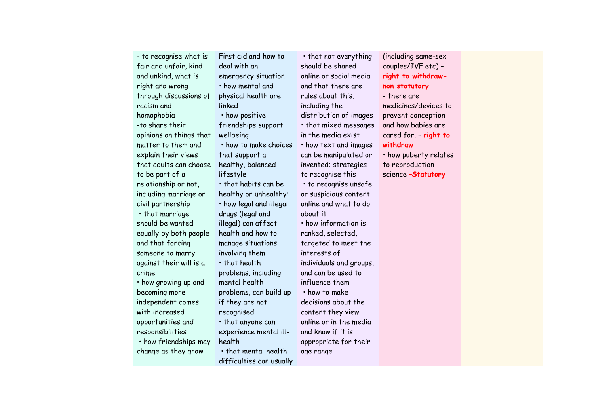| - to recognise what is  | First aid and how to       | · that not everything   | (including same-sex   |  |
|-------------------------|----------------------------|-------------------------|-----------------------|--|
| fair and unfair, kind   | deal with an               | should be shared        | couples/IVF etc) -    |  |
| and unkind, what is     | emergency situation        | online or social media  | right to withdraw-    |  |
| right and wrong         | · how mental and           | and that there are      | non statutory         |  |
| through discussions of  | physical health are        | rules about this,       | - there are           |  |
| racism and              | linked                     | including the           | medicines/devices to  |  |
| homophobia              | · how positive             | distribution of images  | prevent conception    |  |
| -to share their         | friendships support        | · that mixed messages   | and how babies are    |  |
| opinions on things that | wellbeing                  | in the media exist      | cared for - right to  |  |
| matter to them and      | · how to make choices      | · how text and images   | withdraw              |  |
| explain their views     | that support a             | can be manipulated or   | · how puberty relates |  |
| that adults can choose  | healthy, balanced          | invented; strategies    | to reproduction-      |  |
| to be part of a         | lifestyle                  | to recognise this       | science-Statutory     |  |
| relationship or not,    | · that habits can be       | · to recognise unsafe   |                       |  |
| including marriage or   | healthy or unhealthy;      | or suspicious content   |                       |  |
| civil partnership       | · how legal and illegal    | online and what to do   |                       |  |
| $\cdot$ that marriage   | drugs (legal and           | about it                |                       |  |
| should be wanted        | illegal) can affect        | · how information is    |                       |  |
| equally by both people  | health and how to          | ranked, selected,       |                       |  |
| and that forcing        | manage situations          | targeted to meet the    |                       |  |
| someone to marry        | involving them             | interests of            |                       |  |
| against their will is a | $\cdot$ that health        | individuals and groups, |                       |  |
| crime                   | problems, including        | and can be used to      |                       |  |
| • how growing up and    | mental health              | influence them          |                       |  |
| becoming more           | problems, can build up     | · how to make           |                       |  |
| independent comes       | if they are not            | decisions about the     |                       |  |
| with increased          | recognised                 | content they view       |                       |  |
| opportunities and       | · that anyone can          | online or in the media  |                       |  |
| responsibilities        | experience mental ill-     | and know if it is       |                       |  |
| · how friendships may   | health                     | appropriate for their   |                       |  |
| change as they grow     | $\cdot$ that mental health | age range               |                       |  |
|                         | difficulties can usually   |                         |                       |  |